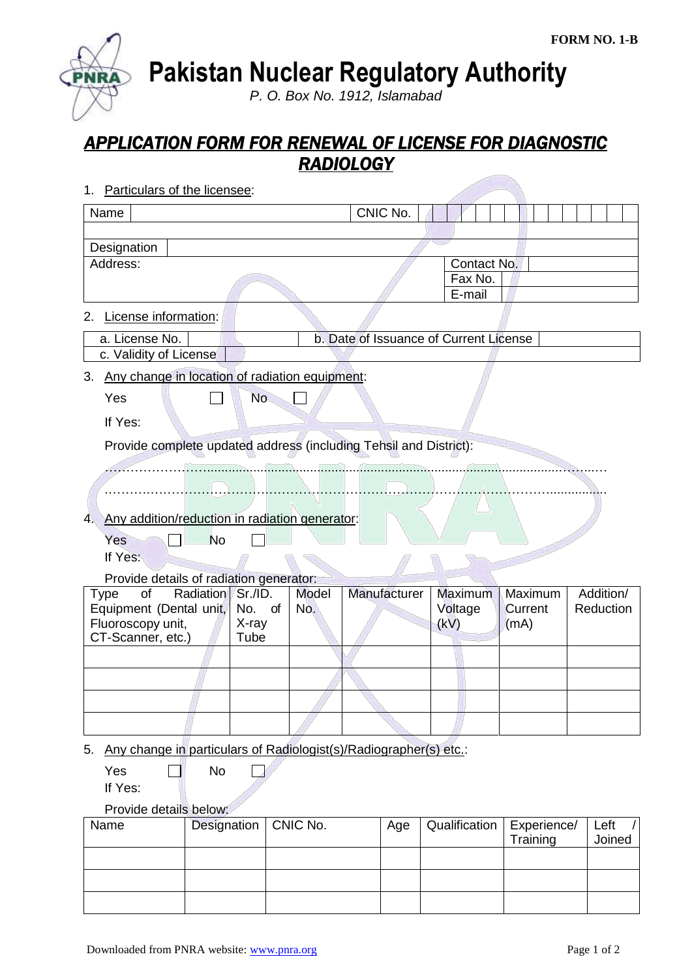**Pakistan Nuclear Regulatory Authority**

*P. O. Box No. 1912, Islamabad*

## *APPLICATION FORM FOR RENEWAL OF LICENSE FOR DIAGNOSTIC RADIOLOGY*

1. Particulars of the licensee:

**PNR** 

| Name                                                                               |                                                                      |           |               |                     |              |  | CNIC No. |                                  |                    |                         |                        |                |  |
|------------------------------------------------------------------------------------|----------------------------------------------------------------------|-----------|---------------|---------------------|--------------|--|----------|----------------------------------|--------------------|-------------------------|------------------------|----------------|--|
| Designation                                                                        |                                                                      |           |               |                     |              |  |          |                                  |                    |                         |                        |                |  |
| Address:                                                                           |                                                                      |           |               |                     |              |  |          | Contact No.<br>Fax No.<br>E-mail |                    |                         |                        |                |  |
| 2.                                                                                 | License information:                                                 |           |               |                     |              |  |          |                                  |                    |                         |                        |                |  |
| b. Date of Issuance of Current License<br>a. License No.<br>c. Validity of License |                                                                      |           |               |                     |              |  |          |                                  |                    |                         |                        |                |  |
| 3.                                                                                 | Any change in location of radiation equipment:                       |           |               |                     |              |  |          |                                  |                    |                         |                        |                |  |
| Yes                                                                                |                                                                      |           | <b>No</b>     |                     |              |  |          |                                  |                    |                         |                        |                |  |
| If Yes:                                                                            |                                                                      |           |               |                     |              |  |          |                                  |                    |                         |                        |                |  |
| Provide complete updated address (including Tehsil and District):                  |                                                                      |           |               |                     |              |  |          |                                  |                    |                         |                        |                |  |
|                                                                                    |                                                                      |           |               |                     |              |  |          |                                  |                    |                         |                        |                |  |
|                                                                                    |                                                                      |           |               |                     |              |  |          |                                  |                    |                         |                        |                |  |
| 4.                                                                                 | Any addition/reduction in radiation generator:                       |           |               |                     |              |  |          |                                  |                    |                         |                        |                |  |
| Yes                                                                                |                                                                      | <b>No</b> |               |                     |              |  |          |                                  |                    |                         |                        |                |  |
| If Yes:                                                                            |                                                                      |           |               |                     |              |  |          |                                  |                    |                         |                        |                |  |
|                                                                                    | Provide details of radiation generator:                              |           |               |                     |              |  |          |                                  |                    |                         |                        |                |  |
| Radiation<br>of<br>Sr./ID.<br><b>Type</b><br>Equipment (Dental unit,<br>No. of     |                                                                      |           |               | <b>Model</b><br>No. | Manufacturer |  |          | Maximum<br>Voltage               | Maximum<br>Current |                         | Addition/<br>Reduction |                |  |
| Fluoroscopy unit,<br>CT-Scanner, etc.)                                             |                                                                      |           | X-ray<br>Tube |                     |              |  |          | (kV)                             |                    | (mA)                    |                        |                |  |
|                                                                                    |                                                                      |           |               |                     |              |  |          |                                  |                    |                         |                        |                |  |
|                                                                                    |                                                                      |           |               |                     |              |  |          |                                  |                    |                         |                        |                |  |
|                                                                                    |                                                                      |           |               |                     |              |  |          |                                  |                    |                         |                        |                |  |
|                                                                                    |                                                                      |           |               |                     |              |  |          |                                  |                    |                         |                        |                |  |
|                                                                                    | 5. Any change in particulars of Radiologist(s)/Radiographer(s) etc.: |           |               |                     |              |  |          |                                  |                    |                         |                        |                |  |
| Yes                                                                                |                                                                      | No        |               |                     |              |  |          |                                  |                    |                         |                        |                |  |
| If Yes:                                                                            |                                                                      |           |               |                     |              |  |          |                                  |                    |                         |                        |                |  |
| Provide details below:<br>Qualification                                            |                                                                      |           |               |                     |              |  |          |                                  |                    |                         |                        |                |  |
| Designation<br>Name                                                                |                                                                      |           |               | CNIC No.            |              |  | Age      |                                  |                    | Experience/<br>Training |                        | Left<br>Joined |  |
|                                                                                    |                                                                      |           |               |                     |              |  |          |                                  |                    |                         |                        |                |  |
|                                                                                    |                                                                      |           |               |                     |              |  |          |                                  |                    |                         |                        |                |  |